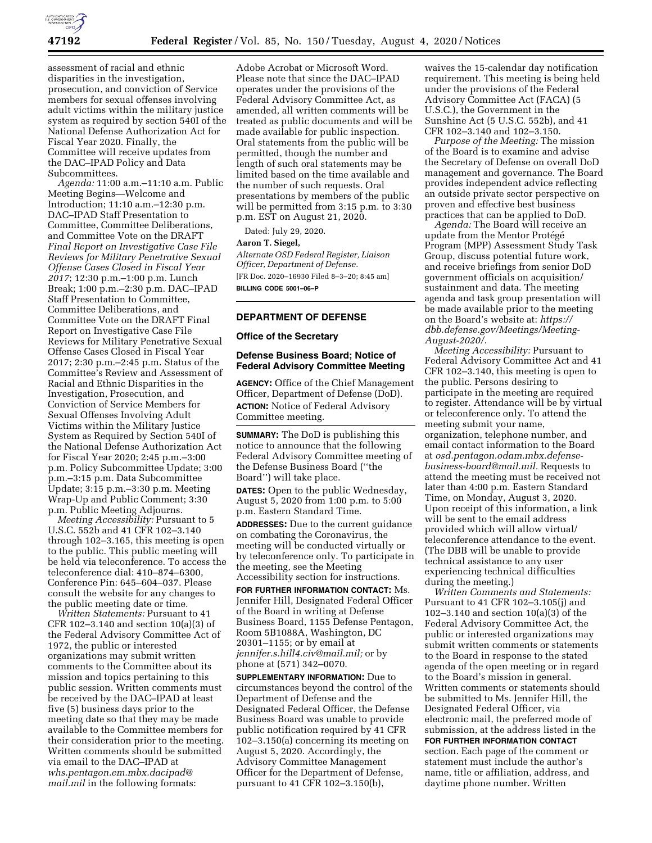

assessment of racial and ethnic disparities in the investigation, prosecution, and conviction of Service members for sexual offenses involving adult victims within the military justice system as required by section 540I of the National Defense Authorization Act for Fiscal Year 2020. Finally, the Committee will receive updates from the DAC–IPAD Policy and Data Subcommittees.

*Agenda:* 11:00 a.m.–11:10 a.m. Public Meeting Begins—Welcome and Introduction; 11:10 a.m.–12:30 p.m. DAC–IPAD Staff Presentation to Committee, Committee Deliberations, and Committee Vote on the DRAFT *Final Report on Investigative Case File Reviews for Military Penetrative Sexual Offense Cases Closed in Fiscal Year 2017*; 12:30 p.m.–1:00 p.m. Lunch Break; 1:00 p.m.–2:30 p.m. DAC–IPAD Staff Presentation to Committee, Committee Deliberations, and Committee Vote on the DRAFT Final Report on Investigative Case File Reviews for Military Penetrative Sexual Offense Cases Closed in Fiscal Year 2017; 2:30 p.m.–2:45 p.m. Status of the Committee's Review and Assessment of Racial and Ethnic Disparities in the Investigation, Prosecution, and Conviction of Service Members for Sexual Offenses Involving Adult Victims within the Military Justice System as Required by Section 540I of the National Defense Authorization Act for Fiscal Year 2020; 2:45 p.m.–3:00 p.m. Policy Subcommittee Update; 3:00 p.m.–3:15 p.m. Data Subcommittee Update; 3:15 p.m.–3:30 p.m. Meeting Wrap-Up and Public Comment; 3:30 p.m. Public Meeting Adjourns.

*Meeting Accessibility:* Pursuant to 5 U.S.C. 552b and 41 CFR 102–3.140 through 102–3.165, this meeting is open to the public. This public meeting will be held via teleconference. To access the teleconference dial: 410–874–6300, Conference Pin: 645–604–037. Please consult the website for any changes to the public meeting date or time.

*Written Statements:* Pursuant to 41 CFR 102–3.140 and section 10(a)(3) of the Federal Advisory Committee Act of 1972, the public or interested organizations may submit written comments to the Committee about its mission and topics pertaining to this public session. Written comments must be received by the DAC–IPAD at least five (5) business days prior to the meeting date so that they may be made available to the Committee members for their consideration prior to the meeting. Written comments should be submitted via email to the DAC–IPAD at *[whs.pentagon.em.mbx.dacipad@](mailto:whs.pentagon.em.mbx.dacipad@mail.mil) [mail.mil](mailto:whs.pentagon.em.mbx.dacipad@mail.mil)* in the following formats:

Adobe Acrobat or Microsoft Word. Please note that since the DAC–IPAD operates under the provisions of the Federal Advisory Committee Act, as amended, all written comments will be treated as public documents and will be made available for public inspection. Oral statements from the public will be permitted, though the number and length of such oral statements may be limited based on the time available and the number of such requests. Oral presentations by members of the public will be permitted from 3:15 p.m. to 3:30 p.m. EST on August 21, 2020.

Dated: July 29, 2020.

#### **Aaron T. Siegel,**

*Alternate OSD Federal Register, Liaison Officer, Department of Defense.*  [FR Doc. 2020–16930 Filed 8–3–20; 8:45 am] **BILLING CODE 5001–06–P** 

## **DEPARTMENT OF DEFENSE**

### **Office of the Secretary**

## **Defense Business Board; Notice of Federal Advisory Committee Meeting**

**AGENCY:** Office of the Chief Management Officer, Department of Defense (DoD). **ACTION:** Notice of Federal Advisory Committee meeting.

**SUMMARY:** The DoD is publishing this notice to announce that the following Federal Advisory Committee meeting of the Defense Business Board (''the Board'') will take place.

**DATES:** Open to the public Wednesday, August 5, 2020 from 1:00 p.m. to 5:00 p.m. Eastern Standard Time.

**ADDRESSES:** Due to the current guidance on combating the Coronavirus, the meeting will be conducted virtually or by teleconference only. To participate in the meeting, see the Meeting Accessibility section for instructions.

**FOR FURTHER INFORMATION CONTACT:** Ms. Jennifer Hill, Designated Federal Officer of the Board in writing at Defense Business Board, 1155 Defense Pentagon, Room 5B1088A, Washington, DC 20301–1155; or by email at *[jennifer.s.hill4.civ@mail.mil;](mailto:jennifer.s.hill4.civ@mail.mil)* or by phone at (571) 342–0070.

**SUPPLEMENTARY INFORMATION:** Due to circumstances beyond the control of the Department of Defense and the Designated Federal Officer, the Defense Business Board was unable to provide public notification required by 41 CFR 102–3.150(a) concerning its meeting on August 5, 2020. Accordingly, the Advisory Committee Management Officer for the Department of Defense, pursuant to 41 CFR 102–3.150(b),

waives the 15-calendar day notification requirement. This meeting is being held under the provisions of the Federal Advisory Committee Act (FACA) (5 U.S.C.), the Government in the Sunshine Act (5 U.S.C. 552b), and 41 CFR 102–3.140 and 102–3.150.

*Purpose of the Meeting:* The mission of the Board is to examine and advise the Secretary of Defense on overall DoD management and governance. The Board provides independent advice reflecting an outside private sector perspective on proven and effective best business practices that can be applied to DoD.

*Agenda:* The Board will receive an update from the Mentor Protégé Program (MPP) Assessment Study Task Group, discuss potential future work, and receive briefings from senior DoD government officials on acquisition/ sustainment and data. The meeting agenda and task group presentation will be made available prior to the meeting on the Board's website at: *[https://](https://dbb.defense.gov/Meetings/Meeting-August-2020/) [dbb.defense.gov/Meetings/Meeting-](https://dbb.defense.gov/Meetings/Meeting-August-2020/)[August-2020/.](https://dbb.defense.gov/Meetings/Meeting-August-2020/)* 

*Meeting Accessibility:* Pursuant to Federal Advisory Committee Act and 41 CFR 102–3.140, this meeting is open to the public. Persons desiring to participate in the meeting are required to register. Attendance will be by virtual or teleconference only. To attend the meeting submit your name, organization, telephone number, and email contact information to the Board at *[osd.pentagon.odam.mbx.defense](mailto:osd.pentagon.odam.mbx.defense-business-board@mail.mil)[business-board@mail.mil.](mailto:osd.pentagon.odam.mbx.defense-business-board@mail.mil)* Requests to attend the meeting must be received not later than 4:00 p.m. Eastern Standard Time, on Monday, August 3, 2020. Upon receipt of this information, a link will be sent to the email address provided which will allow virtual/ teleconference attendance to the event. (The DBB will be unable to provide technical assistance to any user experiencing technical difficulties during the meeting.)

*Written Comments and Statements:*  Pursuant to 41 CFR 102–3.105(j) and 102–3.140 and section 10(a)(3) of the Federal Advisory Committee Act, the public or interested organizations may submit written comments or statements to the Board in response to the stated agenda of the open meeting or in regard to the Board's mission in general. Written comments or statements should be submitted to Ms. Jennifer Hill, the Designated Federal Officer, via electronic mail, the preferred mode of submission, at the address listed in the **FOR FURTHER INFORMATION CONTACT** section. Each page of the comment or statement must include the author's name, title or affiliation, address, and daytime phone number. Written